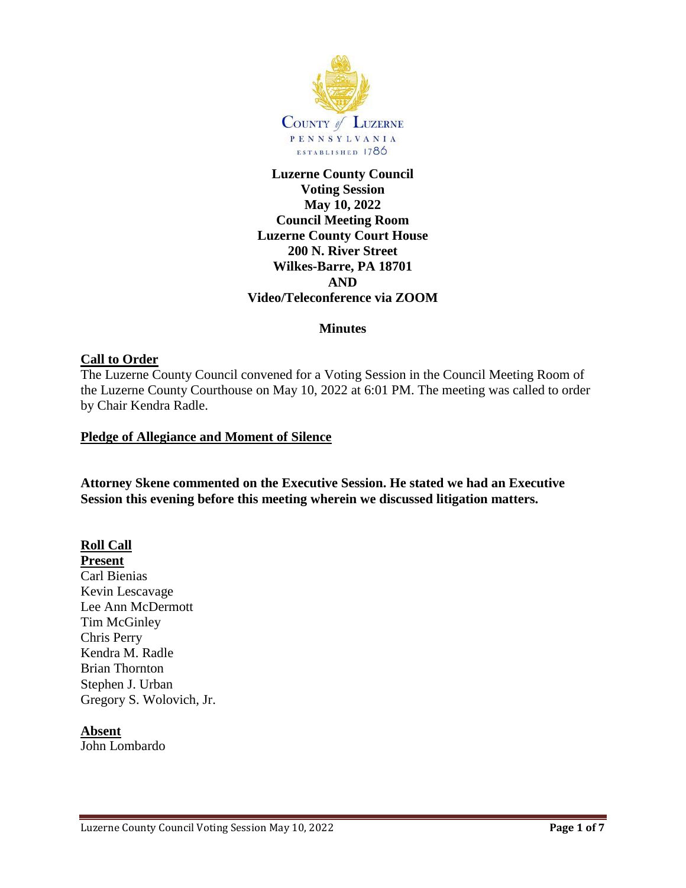

**Luzerne County Council Voting Session May 10, 2022 Council Meeting Room Luzerne County Court House 200 N. River Street Wilkes-Barre, PA 18701 AND Video/Teleconference via ZOOM**

### **Minutes**

## **Call to Order**

The Luzerne County Council convened for a Voting Session in the Council Meeting Room of the Luzerne County Courthouse on May 10, 2022 at 6:01 PM. The meeting was called to order by Chair Kendra Radle.

### **Pledge of Allegiance and Moment of Silence**

**Attorney Skene commented on the Executive Session. He stated we had an Executive Session this evening before this meeting wherein we discussed litigation matters.**

## **Roll Call**

**Present**

Carl Bienias Kevin Lescavage Lee Ann McDermott Tim McGinley Chris Perry Kendra M. Radle Brian Thornton Stephen J. Urban Gregory S. Wolovich, Jr.

#### **Absent**

John Lombardo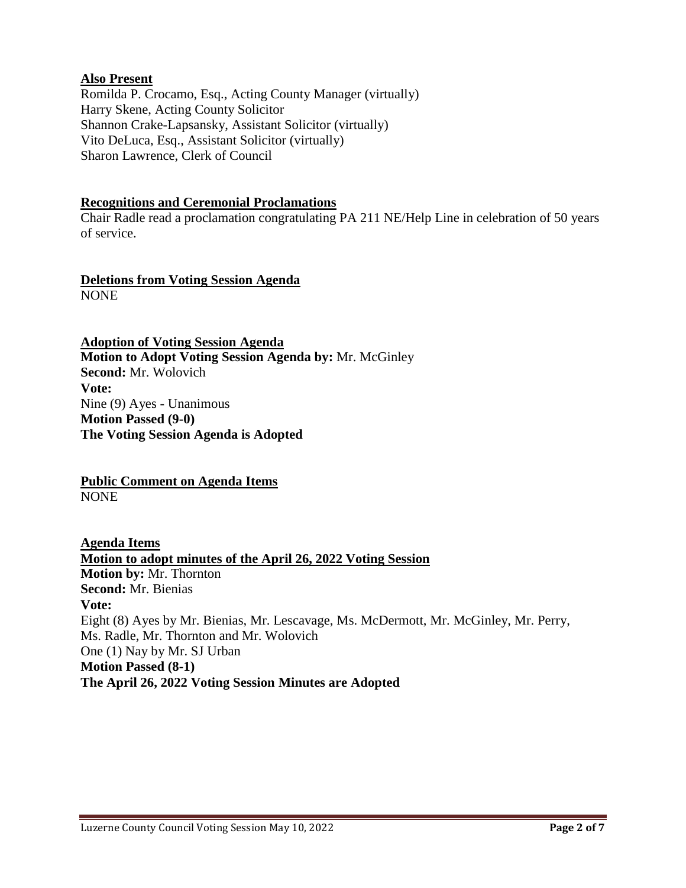# **Also Present**

Romilda P. Crocamo, Esq., Acting County Manager (virtually) Harry Skene, Acting County Solicitor Shannon Crake-Lapsansky, Assistant Solicitor (virtually) Vito DeLuca, Esq., Assistant Solicitor (virtually) Sharon Lawrence, Clerk of Council

## **Recognitions and Ceremonial Proclamations**

Chair Radle read a proclamation congratulating PA 211 NE/Help Line in celebration of 50 years of service.

### **Deletions from Voting Session Agenda** NONE

**Adoption of Voting Session Agenda Motion to Adopt Voting Session Agenda by:** Mr. McGinley **Second:** Mr. Wolovich **Vote:** Nine (9) Ayes - Unanimous **Motion Passed (9-0) The Voting Session Agenda is Adopted**

**Public Comment on Agenda Items** NONE

**Agenda Items Motion to adopt minutes of the April 26, 2022 Voting Session Motion by:** Mr. Thornton **Second:** Mr. Bienias **Vote:** Eight (8) Ayes by Mr. Bienias, Mr. Lescavage, Ms. McDermott, Mr. McGinley, Mr. Perry, Ms. Radle, Mr. Thornton and Mr. Wolovich One (1) Nay by Mr. SJ Urban **Motion Passed (8-1) The April 26, 2022 Voting Session Minutes are Adopted**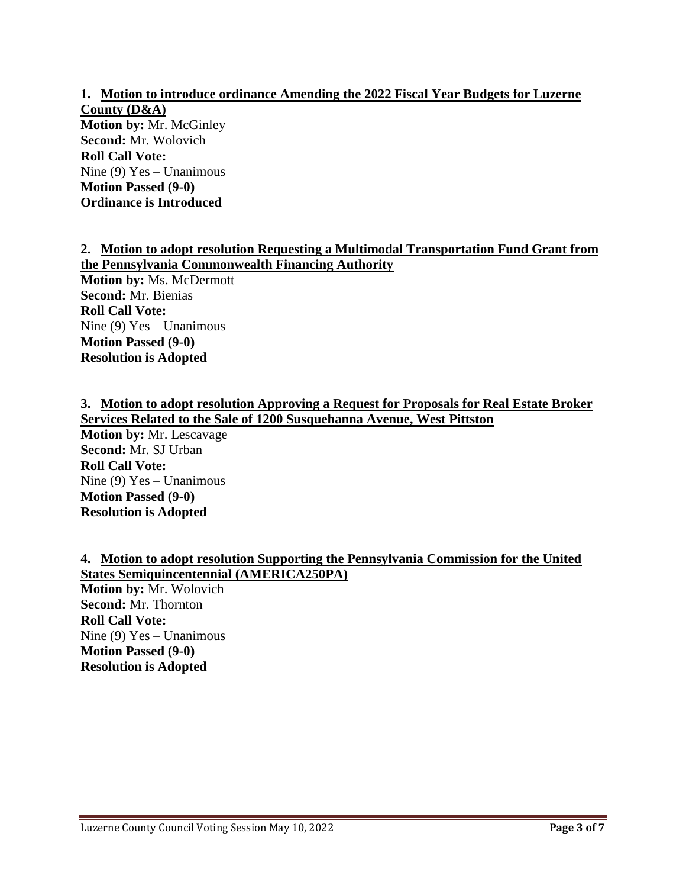**1. Motion to introduce ordinance Amending the 2022 Fiscal Year Budgets for Luzerne County (D&A) Motion by:** Mr. McGinley **Second:** Mr. Wolovich **Roll Call Vote:** Nine (9) Yes – Unanimous **Motion Passed (9-0) Ordinance is Introduced**

# **2. Motion to adopt resolution Requesting a Multimodal Transportation Fund Grant from the Pennsylvania Commonwealth Financing Authority**

**Motion by:** Ms. McDermott **Second:** Mr. Bienias **Roll Call Vote:** Nine (9) Yes – Unanimous **Motion Passed (9-0) Resolution is Adopted**

**3. Motion to adopt resolution Approving a Request for Proposals for Real Estate Broker Services Related to the Sale of 1200 Susquehanna Avenue, West Pittston Motion by:** Mr. Lescavage **Second:** Mr. SJ Urban **Roll Call Vote:** Nine (9) Yes – Unanimous **Motion Passed (9-0) Resolution is Adopted**

**4. Motion to adopt resolution Supporting the Pennsylvania Commission for the United States Semiquincentennial (AMERICA250PA) Motion by:** Mr. Wolovich **Second:** Mr. Thornton **Roll Call Vote:** Nine (9) Yes – Unanimous **Motion Passed (9-0) Resolution is Adopted**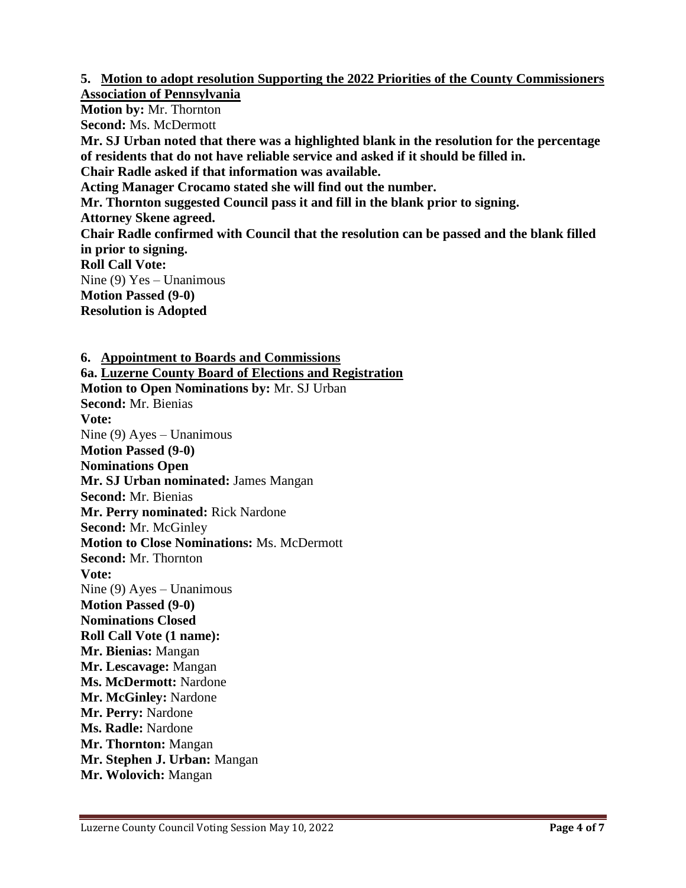**5. Motion to adopt resolution Supporting the 2022 Priorities of the County Commissioners Association of Pennsylvania**

**Motion by:** Mr. Thornton **Second:** Ms. McDermott **Mr. SJ Urban noted that there was a highlighted blank in the resolution for the percentage of residents that do not have reliable service and asked if it should be filled in. Chair Radle asked if that information was available. Acting Manager Crocamo stated she will find out the number. Mr. Thornton suggested Council pass it and fill in the blank prior to signing. Attorney Skene agreed. Chair Radle confirmed with Council that the resolution can be passed and the blank filled in prior to signing. Roll Call Vote:** Nine (9) Yes – Unanimous **Motion Passed (9-0) Resolution is Adopted**

**6. Appointment to Boards and Commissions 6a. Luzerne County Board of Elections and Registration Motion to Open Nominations by:** Mr. SJ Urban **Second:** Mr. Bienias **Vote:** Nine (9) Ayes – Unanimous **Motion Passed (9-0) Nominations Open Mr. SJ Urban nominated:** James Mangan **Second:** Mr. Bienias **Mr. Perry nominated:** Rick Nardone **Second:** Mr. McGinley **Motion to Close Nominations:** Ms. McDermott **Second:** Mr. Thornton **Vote:**  Nine (9) Ayes – Unanimous **Motion Passed (9-0) Nominations Closed Roll Call Vote (1 name): Mr. Bienias:** Mangan **Mr. Lescavage:** Mangan **Ms. McDermott:** Nardone **Mr. McGinley:** Nardone **Mr. Perry:** Nardone **Ms. Radle:** Nardone **Mr. Thornton:** Mangan **Mr. Stephen J. Urban:** Mangan **Mr. Wolovich:** Mangan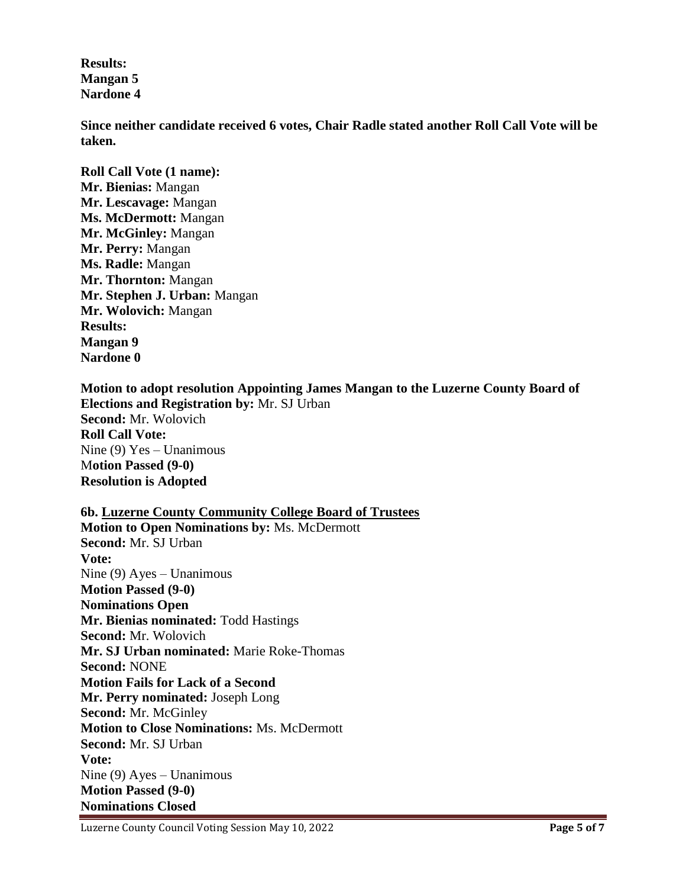**Results: Mangan 5 Nardone 4**

**Since neither candidate received 6 votes, Chair Radle stated another Roll Call Vote will be taken.**

**Roll Call Vote (1 name): Mr. Bienias:** Mangan **Mr. Lescavage:** Mangan **Ms. McDermott:** Mangan **Mr. McGinley:** Mangan **Mr. Perry:** Mangan **Ms. Radle:** Mangan **Mr. Thornton:** Mangan **Mr. Stephen J. Urban:** Mangan **Mr. Wolovich:** Mangan **Results: Mangan 9 Nardone 0**

**Motion to adopt resolution Appointing James Mangan to the Luzerne County Board of Elections and Registration by:** Mr. SJ Urban **Second:** Mr. Wolovich **Roll Call Vote:** Nine (9) Yes – Unanimous M**otion Passed (9-0) Resolution is Adopted**

**6b. Luzerne County Community College Board of Trustees Motion to Open Nominations by:** Ms. McDermott **Second:** Mr. SJ Urban **Vote:** Nine (9) Ayes – Unanimous **Motion Passed (9-0) Nominations Open Mr. Bienias nominated:** Todd Hastings **Second:** Mr. Wolovich **Mr. SJ Urban nominated:** Marie Roke-Thomas **Second:** NONE **Motion Fails for Lack of a Second Mr. Perry nominated:** Joseph Long **Second:** Mr. McGinley **Motion to Close Nominations:** Ms. McDermott **Second:** Mr. SJ Urban **Vote:**  Nine (9) Ayes – Unanimous **Motion Passed (9-0) Nominations Closed**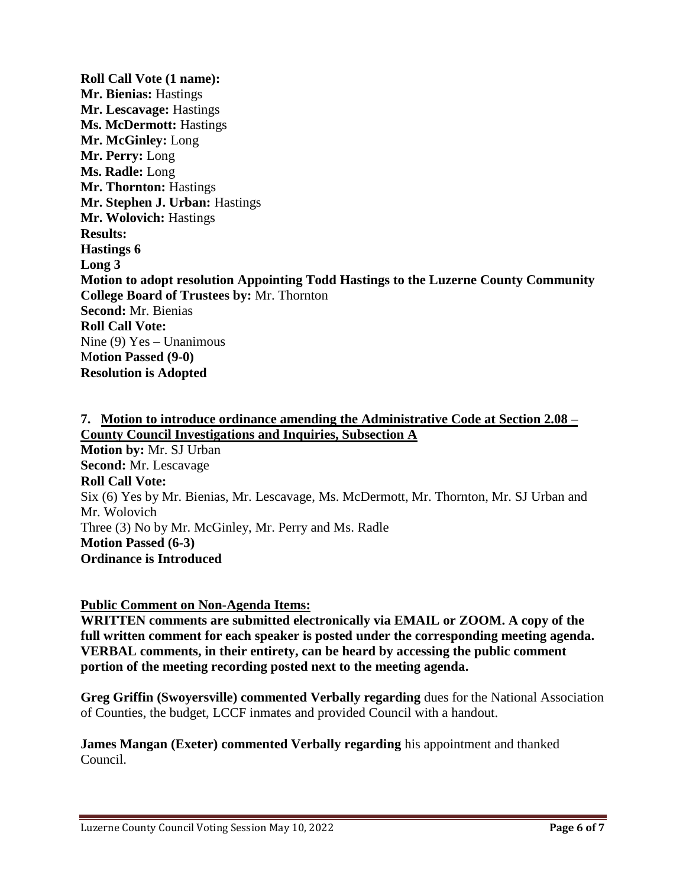**Roll Call Vote (1 name): Mr. Bienias:** Hastings **Mr. Lescavage:** Hastings **Ms. McDermott:** Hastings **Mr. McGinley:** Long **Mr. Perry:** Long **Ms. Radle:** Long **Mr. Thornton:** Hastings **Mr. Stephen J. Urban:** Hastings **Mr. Wolovich:** Hastings **Results: Hastings 6 Long 3 Motion to adopt resolution Appointing Todd Hastings to the Luzerne County Community College Board of Trustees by:** Mr. Thornton **Second:** Mr. Bienias **Roll Call Vote:** Nine (9) Yes – Unanimous M**otion Passed (9-0) Resolution is Adopted**

**7. Motion to introduce ordinance amending the Administrative Code at Section 2.08 – County Council Investigations and Inquiries, Subsection A Motion by:** Mr. SJ Urban **Second:** Mr. Lescavage **Roll Call Vote:** Six (6) Yes by Mr. Bienias, Mr. Lescavage, Ms. McDermott, Mr. Thornton, Mr. SJ Urban and Mr. Wolovich Three (3) No by Mr. McGinley, Mr. Perry and Ms. Radle **Motion Passed (6-3) Ordinance is Introduced**

**Public Comment on Non-Agenda Items:**

**WRITTEN comments are submitted electronically via EMAIL or ZOOM. A copy of the full written comment for each speaker is posted under the corresponding meeting agenda. VERBAL comments, in their entirety, can be heard by accessing the public comment portion of the meeting recording posted next to the meeting agenda.**

**Greg Griffin (Swoyersville) commented Verbally regarding** dues for the National Association of Counties, the budget, LCCF inmates and provided Council with a handout.

**James Mangan (Exeter) commented Verbally regarding** his appointment and thanked Council.